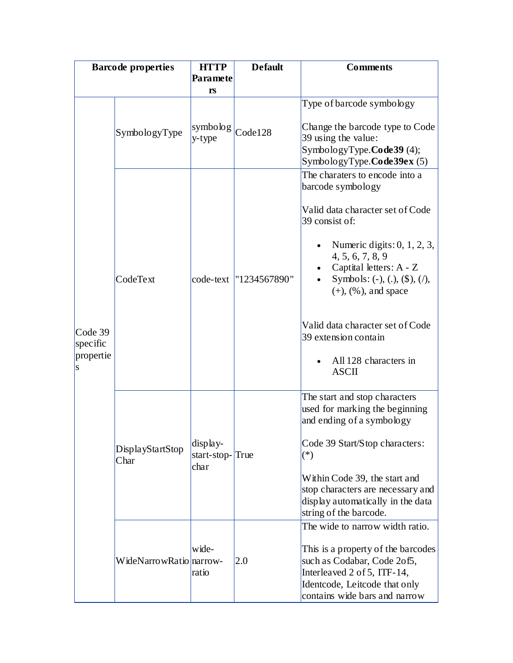| <b>Barcode properties</b>             |                          | <b>HTTP</b>                                 | <b>Default</b>           | <b>Comments</b>                                                                                                                                                                                       |
|---------------------------------------|--------------------------|---------------------------------------------|--------------------------|-------------------------------------------------------------------------------------------------------------------------------------------------------------------------------------------------------|
|                                       |                          |                                             |                          |                                                                                                                                                                                                       |
|                                       |                          | rs                                          |                          |                                                                                                                                                                                                       |
| Code 39<br>specific<br>propertie<br>S | SymbologyType            | symbolog $\vert_{\text{Code}128}$<br>y-type |                          | Type of barcode symbology<br>Change the barcode type to Code<br>39 using the value:<br>SymbologyType.Code39 (4);<br>SymbologyType.Code39ex (5)                                                        |
|                                       | CodeText                 |                                             | code-text   "1234567890" | The charaters to encode into a<br>barcode symbology<br>Valid data character set of Code                                                                                                               |
|                                       |                          |                                             |                          | 39 consist of:<br>Numeric digits: $0, 1, 2, 3$ ,                                                                                                                                                      |
|                                       |                          |                                             |                          | 4, 5, 6, 7, 8, 9<br>Captital letters: A - Z<br>Symbols: (-), (.), $(\$), (/),$<br>$(+)$ , $(\% )$ , and space                                                                                         |
|                                       |                          |                                             |                          | Valid data character set of Code<br>39 extension contain<br>All 128 characters in<br><b>ASCII</b>                                                                                                     |
|                                       | DisplayStartStop<br>Char | display-<br>start-stop-True<br>char         |                          | The start and stop characters<br>used for marking the beginning<br>and ending of a symbology                                                                                                          |
|                                       |                          |                                             |                          | Code 39 Start/Stop characters:<br>$(*)$                                                                                                                                                               |
|                                       |                          |                                             |                          | Within Code 39, the start and<br>stop characters are necessary and<br>display automatically in the data<br>string of the barcode.                                                                     |
|                                       | WideNarrowRatio narrow-  | wide-<br>ratio                              | 2.0                      | The wide to narrow width ratio.<br>This is a property of the barcodes<br>such as Codabar, Code 2of5,<br>Interleaved 2 of 5, ITF-14,<br>Identcode, Leitcode that only<br>contains wide bars and narrow |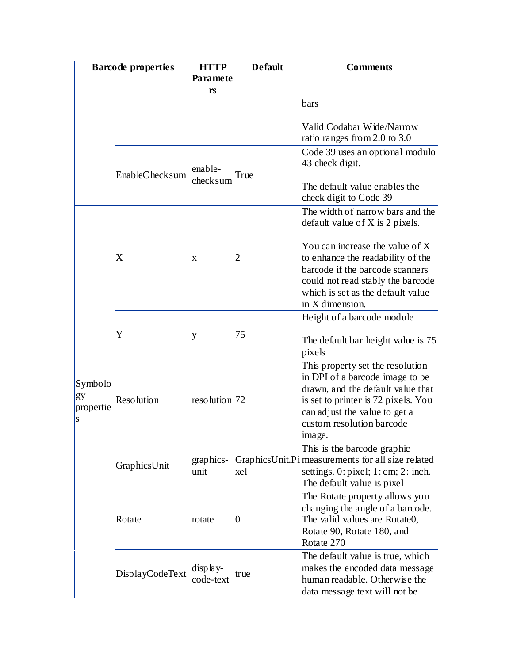| <b>Barcode properties</b>       |                 | <b>HTTP</b>             | <b>Default</b> | <b>Comments</b>                                                                                                                                                                                                         |
|---------------------------------|-----------------|-------------------------|----------------|-------------------------------------------------------------------------------------------------------------------------------------------------------------------------------------------------------------------------|
|                                 |                 | Paramete                |                |                                                                                                                                                                                                                         |
|                                 |                 | rs                      |                |                                                                                                                                                                                                                         |
|                                 |                 |                         |                | bars                                                                                                                                                                                                                    |
|                                 |                 |                         |                | Valid Codabar Wide/Narrow                                                                                                                                                                                               |
|                                 |                 |                         |                | ratio ranges from 2.0 to 3.0                                                                                                                                                                                            |
|                                 | EnableChecksum  | $l$ enable-<br>checksum | True           | Code 39 uses an optional modulo<br>43 check digit.                                                                                                                                                                      |
|                                 |                 |                         |                | The default value enables the<br>check digit to Code 39                                                                                                                                                                 |
|                                 | X               | X                       | $\overline{2}$ | The width of narrow bars and the<br>default value of $X$ is 2 pixels.                                                                                                                                                   |
|                                 |                 |                         |                | You can increase the value of X<br>to enhance the readability of the<br>barcode if the barcode scanners<br>could not read stably the barcode<br>which is set as the default value                                       |
|                                 |                 |                         |                | in X dimension.                                                                                                                                                                                                         |
|                                 |                 |                         |                | Height of a barcode module                                                                                                                                                                                              |
| Symbolo<br>gy<br>propertie<br>S | Y               | y                       | 75             | The default bar height value is 75<br>pixels                                                                                                                                                                            |
|                                 | Resolution      | $resolution$ 72         |                | This property set the resolution<br>in DPI of a barcode image to be<br>drawn, and the default value that<br>is set to printer is 72 pixels. You<br>can adjust the value to get a<br>custom resolution barcode<br>image. |
|                                 | GraphicsUnit    | graphics-<br>unit       | xel            | This is the barcode graphic<br>GraphicsUnit.Pi measurements for all size related<br>settings. $0:$ pixel; $1:$ cm; $2:$ inch.<br>The default value is pixel                                                             |
|                                 | Rotate          | rotate                  | 0              | The Rotate property allows you<br>changing the angle of a barcode.<br>The valid values are Rotate0,<br>Rotate 90, Rotate 180, and<br>Rotate 270                                                                         |
|                                 | DisplayCodeText | display-<br>code-text   | true           | The default value is true, which<br>makes the encoded data message<br>human readable. Otherwise the<br>data message text will not be                                                                                    |